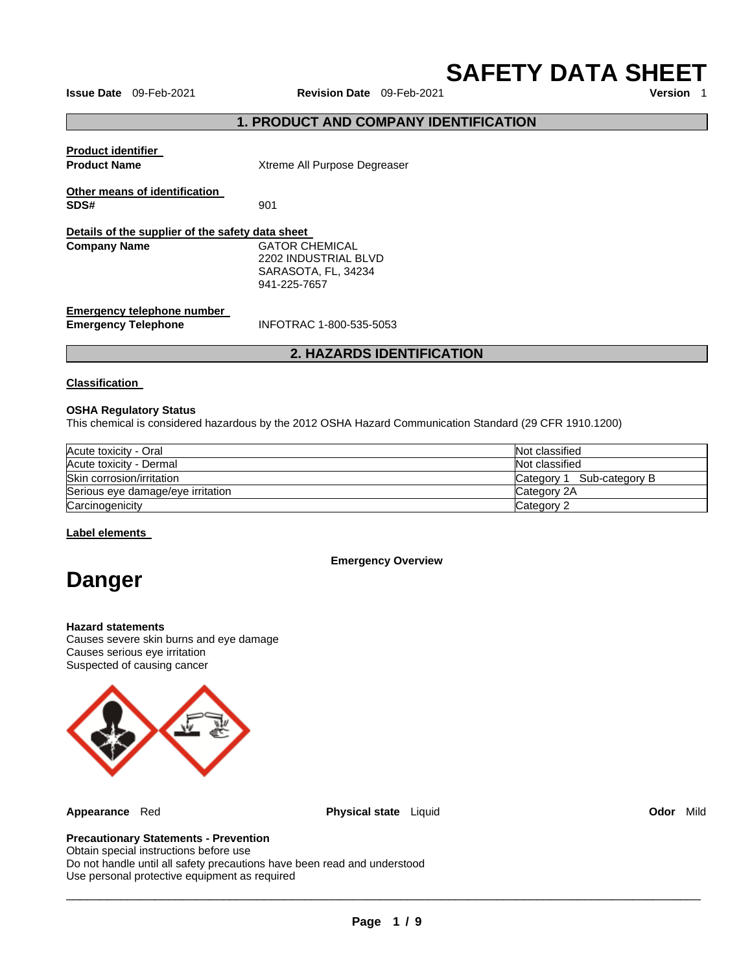**SAFETY DATA SHEET** 

**Issue Date** 09-Feb-2021 **Revision Date** 09-Feb-2021

# **1. PRODUCT AND COMPANY IDENTIFICATION**

| <b>Product identifier</b><br><b>Product Name</b>                | Xtreme All Purpose Degreaser                                                  |  |
|-----------------------------------------------------------------|-------------------------------------------------------------------------------|--|
| Other means of identification<br>SDS#                           | 901                                                                           |  |
| Details of the supplier of the safety data sheet                |                                                                               |  |
| <b>Company Name</b>                                             | GATOR CHEMICAL<br>2202 INDUSTRIAL BLVD<br>SARASOTA, FL, 34234<br>941-225-7657 |  |
| <b>Emergency telephone number</b><br><b>Emergency Telephone</b> | INFOTRAC 1-800-535-5053                                                       |  |

# **2. HAZARDS IDENTIFICATION**

#### **Classification**

#### **OSHA Regulatory Status**

This chemical is considered hazardous by the 2012 OSHA Hazard Communication Standard (29 CFR 1910.1200)

| Acute toxicity - Oral             | Not classified            |
|-----------------------------------|---------------------------|
| Acute toxicity - Dermal           | Not classified            |
| Skin corrosion/irritation         | Category 1 Sub-category B |
| Serious eye damage/eye irritation | Category 2A               |
| Carcinogenicity                   | Category 2                |

#### **Label elements**

#### **Emergency Overview**

# **Danger**

#### **Hazard statements**

Causes severe skin burns and eye damage Causes serious eye irritation Suspected of causing cancer



**Appearance** Red **Physical state** Liquid **Odor** Mild

# **Precautionary Statements - Prevention**

Obtain special instructions before use Do not handle until all safety precautions have been read and understood Use personal protective equipment as required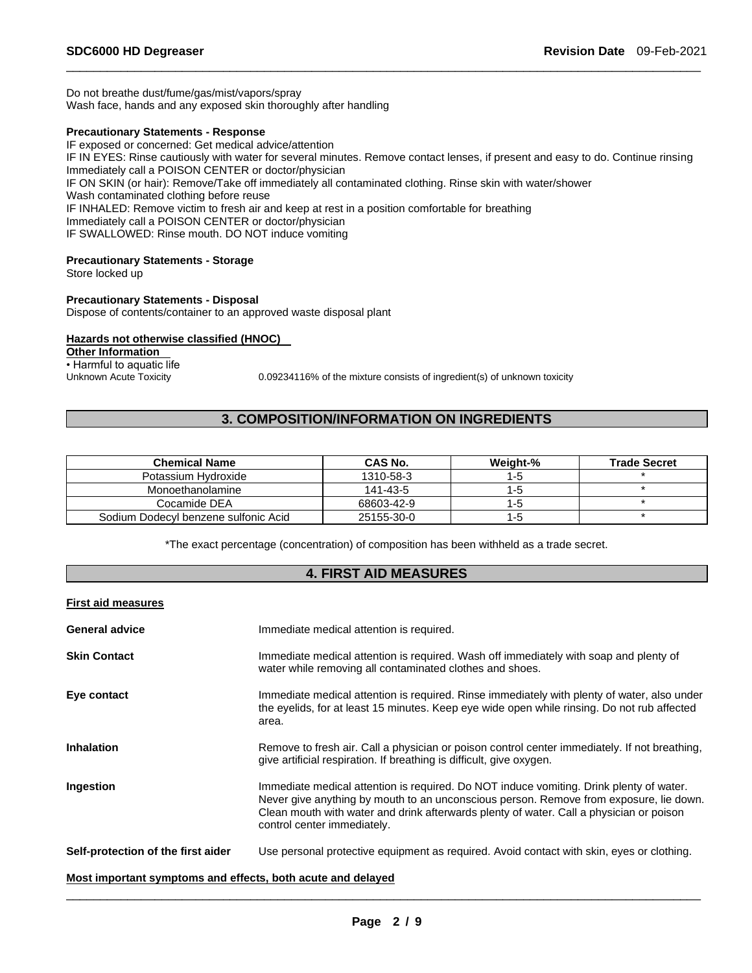Do not breathe dust/fume/gas/mist/vapors/spray Wash face, hands and any exposed skin thoroughly after handling

#### **Precautionary Statements - Response**

IF exposed or concerned: Get medical advice/attention IF IN EYES: Rinse cautiously with water for several minutes. Remove contact lenses, if present and easy to do. Continue rinsing Immediately call a POISON CENTER or doctor/physician IF ON SKIN (or hair): Remove/Take off immediately all contaminated clothing. Rinse skin with water/shower Wash contaminated clothing before reuse IF INHALED: Remove victim to fresh air and keep at rest in a position comfortable for breathing Immediately call a POISON CENTER or doctor/physician IF SWALLOWED: Rinse mouth. DO NOT induce vomiting

\_\_\_\_\_\_\_\_\_\_\_\_\_\_\_\_\_\_\_\_\_\_\_\_\_\_\_\_\_\_\_\_\_\_\_\_\_\_\_\_\_\_\_\_\_\_\_\_\_\_\_\_\_\_\_\_\_\_\_\_\_\_\_\_\_\_\_\_\_\_\_\_\_\_\_\_\_\_\_\_\_\_\_\_\_\_\_\_\_\_\_\_\_

### **Precautionary Statements - Storage**

Store locked up

#### **Precautionary Statements - Disposal**

Dispose of contents/container to an approved waste disposal plant

## **Hazards not otherwise classified (HNOC)**

**Other Information** 

• Harmful to aquatic life<br>Unknown Acute Toxicity

0.09234116% of the mixture consists of ingredient(s) of unknown toxicity

# **3. COMPOSITION/INFORMATION ON INGREDIENTS**

| <b>Chemical Name</b>                 | <b>CAS No.</b> | Weight-% | <b>Trade Secret</b> |
|--------------------------------------|----------------|----------|---------------------|
| Potassium Hydroxide                  | 1310-58-3      | 1-5      |                     |
| Monoethanolamine                     | 141-43-5       | $1 - 5$  |                     |
| Cocamide DEA                         | 68603-42-9     | $1 - 5$  |                     |
| Sodium Dodecyl benzene sulfonic Acid | 25155-30-0     | 1-5      |                     |

\*The exact percentage (concentration) of composition has been withheld as a trade secret.

# **4. FIRST AID MEASURES**

#### **First aid measures**

| <b>General advice</b>              | Immediate medical attention is required.                                                                                                                                                                                                                                                                    |
|------------------------------------|-------------------------------------------------------------------------------------------------------------------------------------------------------------------------------------------------------------------------------------------------------------------------------------------------------------|
| <b>Skin Contact</b>                | Immediate medical attention is required. Wash off immediately with soap and plenty of<br>water while removing all contaminated clothes and shoes.                                                                                                                                                           |
| Eye contact                        | Immediate medical attention is required. Rinse immediately with plenty of water, also under<br>the eyelids, for at least 15 minutes. Keep eye wide open while rinsing. Do not rub affected<br>area.                                                                                                         |
| <b>Inhalation</b>                  | Remove to fresh air. Call a physician or poison control center immediately. If not breathing,<br>give artificial respiration. If breathing is difficult, give oxygen.                                                                                                                                       |
| Ingestion                          | Immediate medical attention is required. Do NOT induce vomiting. Drink plenty of water.<br>Never give anything by mouth to an unconscious person. Remove from exposure, lie down.<br>Clean mouth with water and drink afterwards plenty of water. Call a physician or poison<br>control center immediately. |
| Self-protection of the first aider | Use personal protective equipment as required. Avoid contact with skin, eyes or clothing.                                                                                                                                                                                                                   |

# **Most important symptoms and effects, both acute and delayed**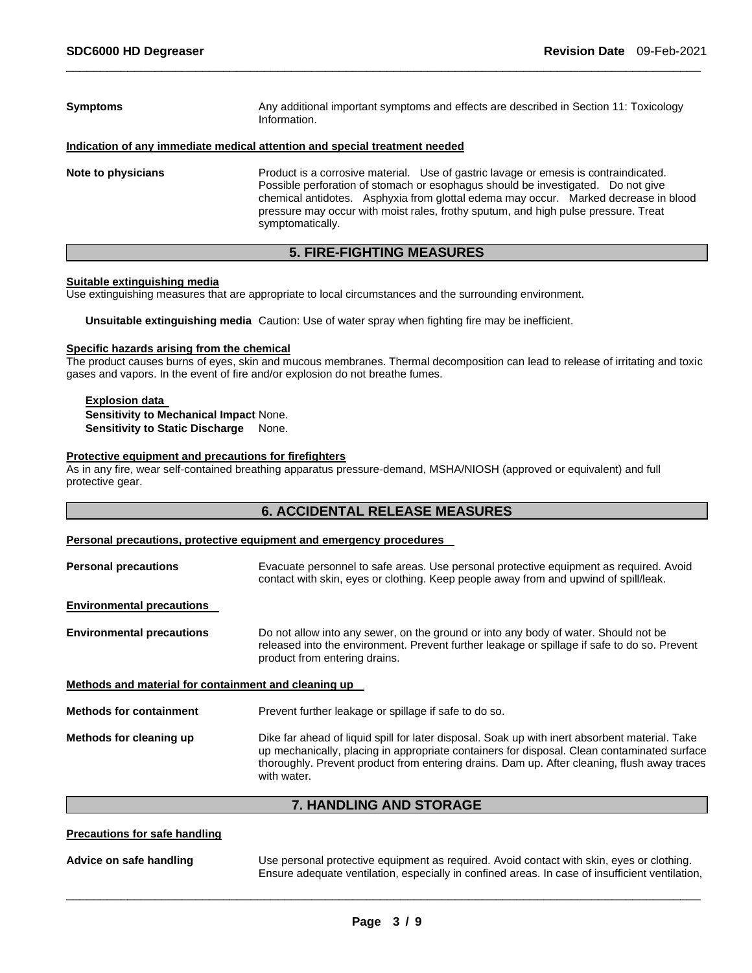| <b>Symptoms</b>    | Any additional important symptoms and effects are described in Section 11: Toxicology<br>Information.                                                                                                                                                                                                                                                                     |  |
|--------------------|---------------------------------------------------------------------------------------------------------------------------------------------------------------------------------------------------------------------------------------------------------------------------------------------------------------------------------------------------------------------------|--|
|                    | Indication of any immediate medical attention and special treatment needed                                                                                                                                                                                                                                                                                                |  |
| Note to physicians | Product is a corrosive material. Use of gastric lavage or emesis is contraindicated.<br>Possible perforation of stomach or esophagus should be investigated. Do not give<br>chemical antidotes. Asphyxia from glottal edema may occur. Marked decrease in blood<br>pressure may occur with moist rales, frothy sputum, and high pulse pressure. Treat<br>symptomatically. |  |

# **5. FIRE-FIGHTING MEASURES**

#### **Suitable extinguishing media**

Use extinguishing measures that are appropriate to local circumstances and the surrounding environment.

**Unsuitable extinguishing media** Caution: Use of water spray when fighting fire may be inefficient.

### **Specific hazards arising from the chemical**

The product causes burns of eyes, skin and mucous membranes. Thermal decomposition can lead to release of irritating and toxic gases and vapors. In the event of fire and/or explosion do not breathe fumes.

#### **Explosion data Sensitivity to Mechanical Impact** None. **Sensitivity to Static Discharge None.**

#### **Protective equipment and precautions for firefighters**

As in any fire, wear self-contained breathing apparatus pressure-demand, MSHA/NIOSH (approved or equivalent) and full protective gear.

# **6. ACCIDENTAL RELEASE MEASURES**

#### **Personal precautions, protective equipment and emergency procedures**

| <b>Personal precautions</b>                          | Evacuate personnel to safe areas. Use personal protective equipment as required. Avoid<br>contact with skin, eyes or clothing. Keep people away from and upwind of spill/leak.                                                                                                                              |
|------------------------------------------------------|-------------------------------------------------------------------------------------------------------------------------------------------------------------------------------------------------------------------------------------------------------------------------------------------------------------|
| <b>Environmental precautions</b>                     |                                                                                                                                                                                                                                                                                                             |
| <b>Environmental precautions</b>                     | Do not allow into any sewer, on the ground or into any body of water. Should not be<br>released into the environment. Prevent further leakage or spillage if safe to do so. Prevent<br>product from entering drains.                                                                                        |
| Methods and material for containment and cleaning up |                                                                                                                                                                                                                                                                                                             |
| <b>Methods for containment</b>                       | Prevent further leakage or spillage if safe to do so.                                                                                                                                                                                                                                                       |
| Methods for cleaning up                              | Dike far ahead of liquid spill for later disposal. Soak up with inert absorbent material. Take<br>up mechanically, placing in appropriate containers for disposal. Clean contaminated surface<br>thoroughly. Prevent product from entering drains. Dam up. After cleaning, flush away traces<br>with water. |

# **7. HANDLING AND STORAGE**

#### **Precautions for safe handling**

**Advice on safe handling** Use personal protective equipment as required. Avoid contact with skin, eyes or clothing. Ensure adequate ventilation, especially in confined areas. In case of insufficient ventilation,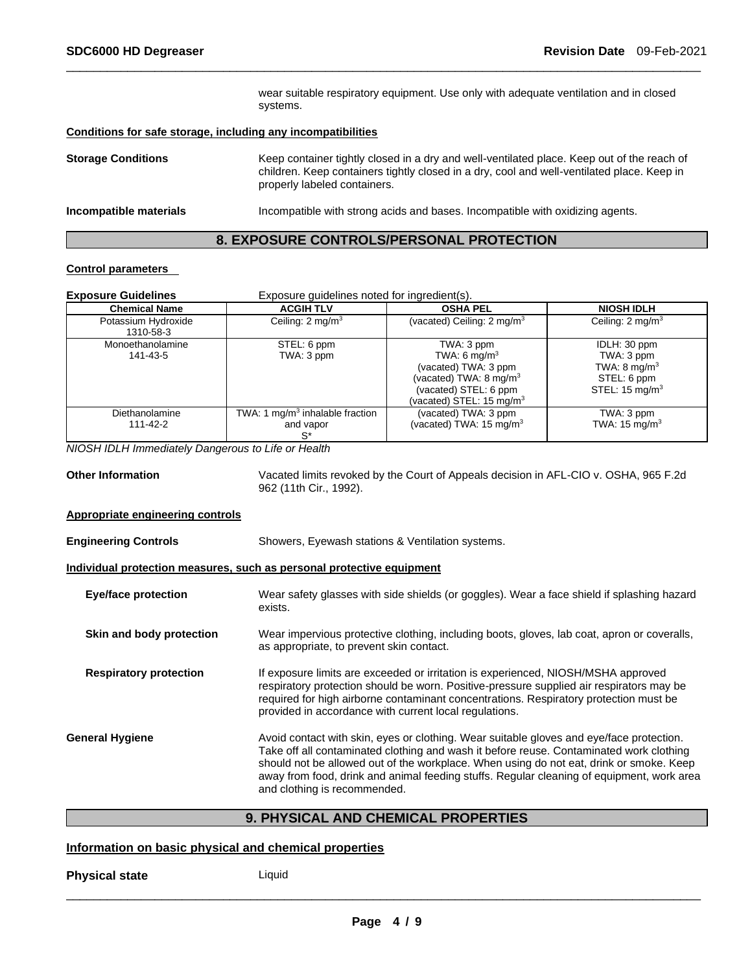wear suitable respiratory equipment. Use only with adequate ventilation and in closed systems.

#### **Conditions for safe storage, including any incompatibilities**

| <b>Storage Conditions</b> | Keep container tightly closed in a dry and well-ventilated place. Keep out of the reach of<br>children. Keep containers tightly closed in a dry, cool and well-ventilated place. Keep in<br>properly labeled containers. |
|---------------------------|--------------------------------------------------------------------------------------------------------------------------------------------------------------------------------------------------------------------------|
| Incompatible materials    | Incompatible with strong acids and bases. Incompatible with oxidizing agents.                                                                                                                                            |

\_\_\_\_\_\_\_\_\_\_\_\_\_\_\_\_\_\_\_\_\_\_\_\_\_\_\_\_\_\_\_\_\_\_\_\_\_\_\_\_\_\_\_\_\_\_\_\_\_\_\_\_\_\_\_\_\_\_\_\_\_\_\_\_\_\_\_\_\_\_\_\_\_\_\_\_\_\_\_\_\_\_\_\_\_\_\_\_\_\_\_\_\_

# **8. EXPOSURE CONTROLS/PERSONAL PROTECTION**

#### **Control parameters**

| <b>Exposure Guidelines</b>       | Exposure guidelines noted for ingredient(s).                      |                                                                                                                                                              |                                                                                                   |
|----------------------------------|-------------------------------------------------------------------|--------------------------------------------------------------------------------------------------------------------------------------------------------------|---------------------------------------------------------------------------------------------------|
| <b>Chemical Name</b>             | <b>ACGIH TLV</b>                                                  | <b>OSHA PEL</b>                                                                                                                                              | <b>NIOSH IDLH</b>                                                                                 |
| Potassium Hydroxide<br>1310-58-3 | Ceiling: $2 \text{ mg/m}^3$                                       | (vacated) Ceiling: $2 \text{ mg/m}^3$                                                                                                                        | Ceiling: $2 \text{ mg/m}^3$                                                                       |
| Monoethanolamine<br>141-43-5     | STEL: 6 ppm<br>TWA: 3 ppm                                         | TWA: 3 ppm<br>TWA: 6 mg/m <sup>3</sup><br>(vacated) TWA: 3 ppm<br>(vacated) TWA: 8 mg/m <sup>3</sup><br>(vacated) STEL: 6 ppm<br>(vacated) STEL: 15 mg/m $3$ | IDLH: 30 ppm<br>TWA: 3 ppm<br>TWA: $8 \text{ mg/m}^3$<br>STEL: 6 ppm<br>STEL: $15 \text{ mg/m}^3$ |
| Diethanolamine<br>111-42-2       | TWA: 1 mg/m <sup>3</sup> inhalable fraction<br>and vapor<br>$S^*$ | (vacated) TWA: 3 ppm<br>(vacated) TWA: 15 mg/m $3$                                                                                                           | TWA: 3 ppm<br>TWA: $15 \text{ mg/m}^3$                                                            |

*NIOSH IDLH Immediately Dangerous to Life or Health* 

**Other Information** Vacated limits revoked by the Court of Appeals decision in AFL-CIO v. OSHA, 965 F.2d 962 (11th Cir., 1992).

#### **Appropriate engineering controls**

**Engineering Controls** Showers, Eyewash stations & Ventilation systems.

### **Individual protection measures, such as personal protective equipment**

| <b>Eye/face protection</b>    | Wear safety glasses with side shields (or goggles). Wear a face shield if splashing hazard<br>exists.                                                                                                                                                                                                                                                                                                       |
|-------------------------------|-------------------------------------------------------------------------------------------------------------------------------------------------------------------------------------------------------------------------------------------------------------------------------------------------------------------------------------------------------------------------------------------------------------|
| Skin and body protection      | Wear impervious protective clothing, including boots, gloves, lab coat, apron or coveralls,<br>as appropriate, to prevent skin contact.                                                                                                                                                                                                                                                                     |
| <b>Respiratory protection</b> | If exposure limits are exceeded or irritation is experienced, NIOSH/MSHA approved<br>respiratory protection should be worn. Positive-pressure supplied air respirators may be<br>required for high airborne contaminant concentrations. Respiratory protection must be<br>provided in accordance with current local regulations.                                                                            |
| <b>General Hygiene</b>        | Avoid contact with skin, eyes or clothing. Wear suitable gloves and eye/face protection.<br>Take off all contaminated clothing and wash it before reuse. Contaminated work clothing<br>should not be allowed out of the workplace. When using do not eat, drink or smoke. Keep<br>away from food, drink and animal feeding stuffs. Regular cleaning of equipment, work area<br>and clothing is recommended. |

# **9. PHYSICAL AND CHEMICAL PROPERTIES**

#### **Information on basic physical and chemical properties**

**Physical state** Liquid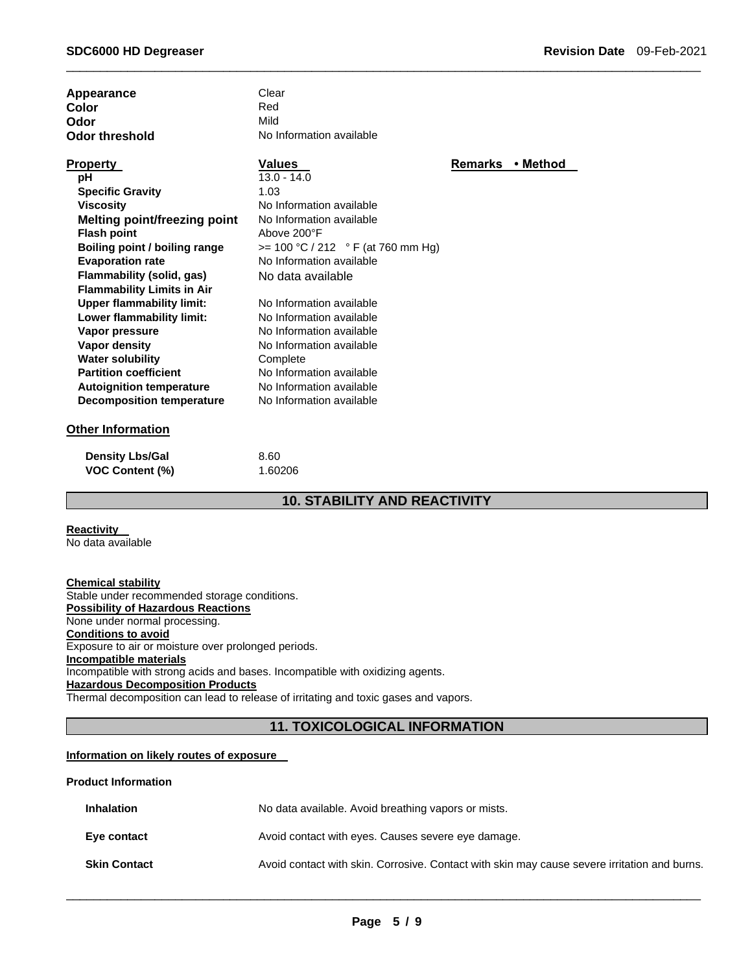| Appearance                          | Clear                               |                            |
|-------------------------------------|-------------------------------------|----------------------------|
| Color                               | Red                                 |                            |
| Odor                                | Mild                                |                            |
| <b>Odor threshold</b>               | No Information available            |                            |
| <b>Property</b>                     | Values                              | <b>Remarks</b><br>• Method |
| рH                                  | $13.0 - 14.0$                       |                            |
| <b>Specific Gravity</b>             | 1.03                                |                            |
| <b>Viscosity</b>                    | No Information available            |                            |
| <b>Melting point/freezing point</b> | No Information available            |                            |
| <b>Flash point</b>                  | Above 200°F                         |                            |
| Boiling point / boiling range       | $>= 100 °C / 212 °F (at 760 mm Hg)$ |                            |
| <b>Evaporation rate</b>             | No Information available            |                            |
| Flammability (solid, gas)           | No data available                   |                            |
| <b>Flammability Limits in Air</b>   |                                     |                            |
| <b>Upper flammability limit:</b>    | No Information available            |                            |
| Lower flammability limit:           | No Information available            |                            |
| Vapor pressure                      | No Information available            |                            |
| <b>Vapor density</b>                | No Information available            |                            |
| <b>Water solubility</b>             | Complete                            |                            |
| <b>Partition coefficient</b>        | No Information available            |                            |
| <b>Autoignition temperature</b>     | No Information available            |                            |
| <b>Decomposition temperature</b>    | No Information available            |                            |
| <b>Other Information</b>            |                                     |                            |

#### **Other Information**

| <b>Density Lbs/Gal</b> | 8.60    |
|------------------------|---------|
| <b>VOC Content (%)</b> | 1.60206 |

# **10. STABILITY AND REACTIVITY**

\_\_\_\_\_\_\_\_\_\_\_\_\_\_\_\_\_\_\_\_\_\_\_\_\_\_\_\_\_\_\_\_\_\_\_\_\_\_\_\_\_\_\_\_\_\_\_\_\_\_\_\_\_\_\_\_\_\_\_\_\_\_\_\_\_\_\_\_\_\_\_\_\_\_\_\_\_\_\_\_\_\_\_\_\_\_\_\_\_\_\_\_\_

# **Reactivity**

No data available

**Chemical stability** Stable under recommended storage conditions. **Possibility of Hazardous Reactions** None under normal processing. **Conditions to avoid** Exposure to air or moisture over prolonged periods. **Incompatible materials** Incompatible with strong acids and bases. Incompatible with oxidizing agents. **Hazardous Decomposition Products** Thermal decomposition can lead to release of irritating and toxic gases and vapors.

# **11. TOXICOLOGICAL INFORMATION**

#### **Information on likely routes of exposure**

#### **Product Information**

| <b>Inhalation</b>   | No data available. Avoid breathing vapors or mists.                                          |
|---------------------|----------------------------------------------------------------------------------------------|
| Eve contact         | Avoid contact with eyes. Causes severe eye damage.                                           |
| <b>Skin Contact</b> | Avoid contact with skin. Corrosive. Contact with skin may cause severe irritation and burns. |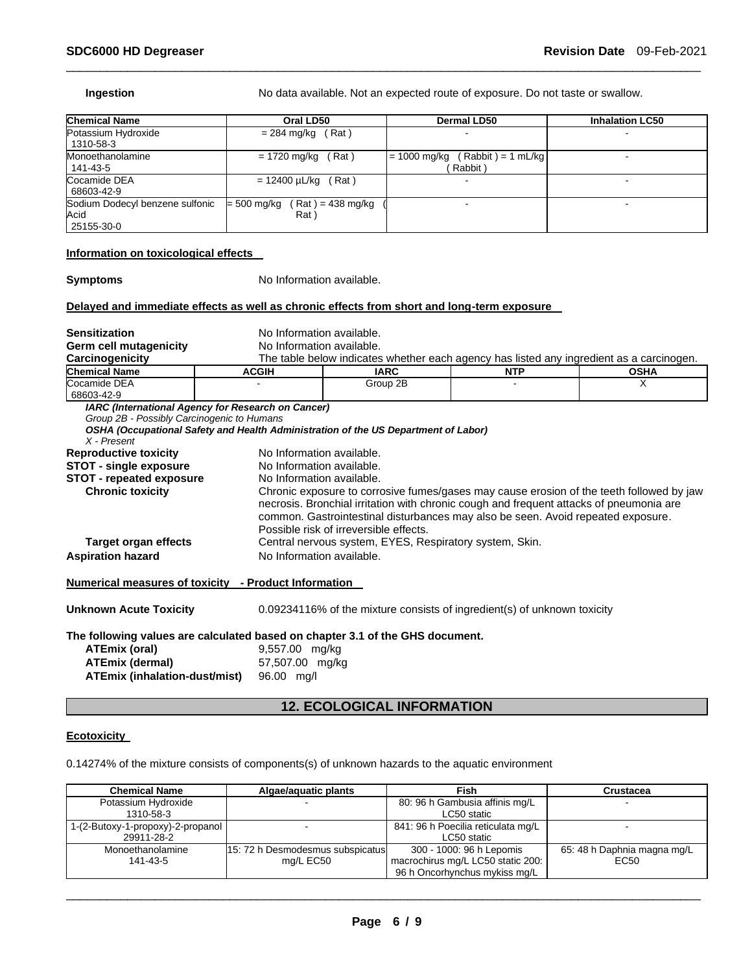| <b>Chemical Name</b>                                                                       | Oral LD50                                                                          |                                        | Dermal LD50                                             | <b>Inhalation LC50</b>                                                                                                                                                                                                                                                  |
|--------------------------------------------------------------------------------------------|------------------------------------------------------------------------------------|----------------------------------------|---------------------------------------------------------|-------------------------------------------------------------------------------------------------------------------------------------------------------------------------------------------------------------------------------------------------------------------------|
| Potassium Hydroxide<br>1310-58-3                                                           | $= 284$ mg/kg (Rat)                                                                |                                        |                                                         |                                                                                                                                                                                                                                                                         |
| Monoethanolamine<br>141-43-5                                                               | $= 1720$ mg/kg (Rat)                                                               |                                        | $= 1000$ mg/kg (Rabbit) = 1 mL/kg<br>(Rabbit)           |                                                                                                                                                                                                                                                                         |
| Cocamide DEA<br>68603-42-9                                                                 | $= 12400 \mu L/kg$ (Rat)                                                           |                                        |                                                         |                                                                                                                                                                                                                                                                         |
| Sodium Dodecyl benzene sulfonic<br>Acid<br>25155-30-0                                      | = 500 mg/kg<br>Rat)                                                                | $(Rat) = 438$ mg/kg                    |                                                         |                                                                                                                                                                                                                                                                         |
| Information on toxicological effects                                                       |                                                                                    |                                        |                                                         |                                                                                                                                                                                                                                                                         |
| <b>Symptoms</b>                                                                            | No Information available.                                                          |                                        |                                                         |                                                                                                                                                                                                                                                                         |
| Delayed and immediate effects as well as chronic effects from short and long-term exposure |                                                                                    |                                        |                                                         |                                                                                                                                                                                                                                                                         |
| <b>Sensitization</b>                                                                       | No Information available.                                                          |                                        |                                                         |                                                                                                                                                                                                                                                                         |
| <b>Germ cell mutagenicity</b>                                                              | No Information available.                                                          |                                        |                                                         |                                                                                                                                                                                                                                                                         |
| Carcinogenicity                                                                            |                                                                                    |                                        |                                                         | The table below indicates whether each agency has listed any ingredient as a carcinogen.                                                                                                                                                                                |
| <b>Chemical Name</b>                                                                       | <b>ACGIH</b>                                                                       | <b>IARC</b>                            | <b>NTP</b>                                              | <b>OSHA</b>                                                                                                                                                                                                                                                             |
| Cocamide DEA<br>68603-42-9                                                                 |                                                                                    | Group 2B                               |                                                         | X                                                                                                                                                                                                                                                                       |
| Group 2B - Possibly Carcinogenic to Humans                                                 | <b>IARC</b> (International Agency for Research on Cancer)                          |                                        |                                                         |                                                                                                                                                                                                                                                                         |
|                                                                                            | OSHA (Occupational Safety and Health Administration of the US Department of Labor) |                                        |                                                         |                                                                                                                                                                                                                                                                         |
| $X$ - Present                                                                              | No Information available.                                                          |                                        |                                                         |                                                                                                                                                                                                                                                                         |
| <b>Reproductive toxicity</b>                                                               | No Information available.                                                          |                                        |                                                         |                                                                                                                                                                                                                                                                         |
| <b>STOT - single exposure</b><br><b>STOT - repeated exposure</b>                           | No Information available.                                                          |                                        |                                                         |                                                                                                                                                                                                                                                                         |
| <b>Chronic toxicity</b>                                                                    |                                                                                    | Possible risk of irreversible effects. |                                                         | Chronic exposure to corrosive fumes/gases may cause erosion of the teeth followed by jaw<br>necrosis. Bronchial irritation with chronic cough and frequent attacks of pneumonia are<br>common. Gastrointestinal disturbances may also be seen. Avoid repeated exposure. |
| <b>Target organ effects</b>                                                                |                                                                                    |                                        | Central nervous system, EYES, Respiratory system, Skin. |                                                                                                                                                                                                                                                                         |
| <b>Aspiration hazard</b>                                                                   | No Information available.                                                          |                                        |                                                         |                                                                                                                                                                                                                                                                         |
| Numerical measures of toxicity - Product Information                                       |                                                                                    |                                        |                                                         |                                                                                                                                                                                                                                                                         |

Ingestion **Ingestion** No data available. Not an expected route of exposure. Do not taste or swallow.

# **The following values are calculated based on chapter 3.1 of the GHS document.**

| ATEmix (oral)                        | 9,557.00 mg/kg  |
|--------------------------------------|-----------------|
| <b>ATEmix (dermal)</b>               | 57,507.00 mg/kg |
| <b>ATEmix (inhalation-dust/mist)</b> | 96.00 ma/l      |

# **12. ECOLOGICAL INFORMATION**

### **Ecotoxicity**

0.14274% of the mixture consists of components(s) of unknown hazards to the aquatic environment

| <b>Chemical Name</b>              | Algae/aguatic plants              | Fish                               | <b>Crustacea</b>            |
|-----------------------------------|-----------------------------------|------------------------------------|-----------------------------|
| Potassium Hydroxide               |                                   | 80: 96 h Gambusia affinis mg/L     |                             |
| 1310-58-3                         |                                   | LC50 static                        |                             |
| 1-(2-Butoxy-1-propoxy)-2-propanol |                                   | 841: 96 h Poecilia reticulata mg/L |                             |
| 29911-28-2                        |                                   | LC50 static                        |                             |
| Monoethanolamine                  | 115: 72 h Desmodesmus subspicatus | 300 - 1000: 96 h Lepomis           | 65: 48 h Daphnia magna mg/L |
| 141-43-5                          | mg/L EC50                         | macrochirus mg/L LC50 static 200:  | EC50                        |
|                                   |                                   | 96 h Oncorhynchus mykiss mg/L      |                             |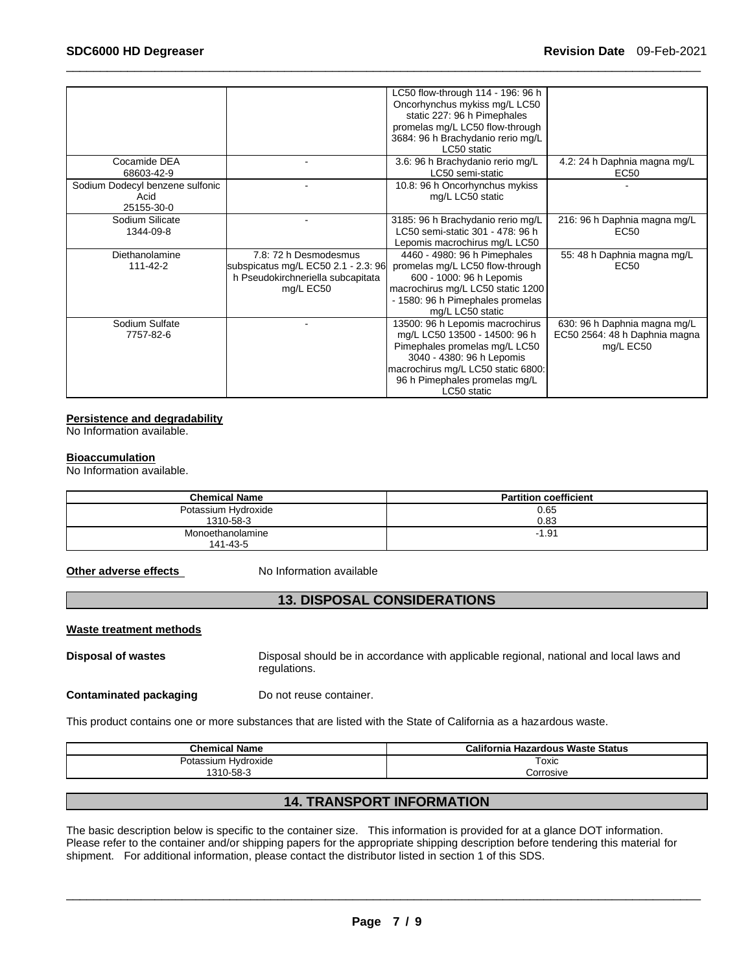|                                 |                                     | LC50 flow-through 114 - 196: 96 h  |                               |
|---------------------------------|-------------------------------------|------------------------------------|-------------------------------|
|                                 |                                     | Oncorhynchus mykiss mg/L LC50      |                               |
|                                 |                                     | static 227: 96 h Pimephales        |                               |
|                                 |                                     | promelas mg/L LC50 flow-through    |                               |
|                                 |                                     | 3684: 96 h Brachydanio rerio mg/L  |                               |
|                                 |                                     | LC50 static                        |                               |
| Cocamide DEA                    |                                     | 3.6: 96 h Brachydanio rerio mg/L   | 4.2: 24 h Daphnia magna mg/L  |
| 68603-42-9                      |                                     | LC50 semi-static                   | EC50                          |
| Sodium Dodecyl benzene sulfonic |                                     | 10.8: 96 h Oncorhynchus mykiss     |                               |
| Acid                            |                                     | mg/L LC50 static                   |                               |
| 25155-30-0                      |                                     |                                    |                               |
| Sodium Silicate                 |                                     | 3185: 96 h Brachydanio rerio mg/L  | 216: 96 h Daphnia magna mg/L  |
| 1344-09-8                       |                                     | LC50 semi-static 301 - 478: 96 h   | EC50                          |
|                                 |                                     | Lepomis macrochirus mg/L LC50      |                               |
| Diethanolamine                  | 7.8: 72 h Desmodesmus               | 4460 - 4980: 96 h Pimephales       | 55: 48 h Daphnia magna mg/L   |
| 111-42-2                        | subspicatus mg/L EC50 2.1 - 2.3: 96 | promelas mg/L LC50 flow-through    | EC <sub>50</sub>              |
|                                 | h Pseudokirchneriella subcapitata   | 600 - 1000: 96 h Lepomis           |                               |
|                                 | mg/L EC50                           | macrochirus mg/L LC50 static 1200  |                               |
|                                 |                                     | - 1580: 96 h Pimephales promelas   |                               |
|                                 |                                     | mg/L LC50 static                   |                               |
| Sodium Sulfate                  |                                     | 13500: 96 h Lepomis macrochirus    | 630: 96 h Daphnia magna mg/L  |
| 7757-82-6                       |                                     | mg/L LC50 13500 - 14500: 96 h      | EC50 2564: 48 h Daphnia magna |
|                                 |                                     | Pimephales promelas mg/L LC50      | mg/L EC50                     |
|                                 |                                     | 3040 - 4380: 96 h Lepomis          |                               |
|                                 |                                     | macrochirus mg/L LC50 static 6800: |                               |
|                                 |                                     | 96 h Pimephales promelas mg/L      |                               |
|                                 |                                     | LC50 static                        |                               |

#### **Persistence and degradability**

No Information available.

#### **Bioaccumulation**

No Information available.

| <b>Chemical Name</b>             | <b>Partition coefficient</b> |
|----------------------------------|------------------------------|
| Potassium Hydroxide<br>1310-58-3 | 0.65<br>0.83                 |
| Monoethanolamine<br>141-43-5     | $-1.91$                      |

**Other adverse effects** No Information available

# **13. DISPOSAL CONSIDERATIONS**

#### **Waste treatment methods**

**Disposal of wastes** Disposal should be in accordance with applicable regional, national and local laws and regulations.

**Contaminated packaging by Do not reuse container.** 

This product contains one or more substances that are listed with the State of California as a hazardous waste.

| <b>Chemical Name</b> | California Hazardous Waste Status |  |
|----------------------|-----------------------------------|--|
| Potassium Hvdroxide  | Toxic                             |  |
| 1310-58-3            | Corrosive                         |  |
|                      |                                   |  |

# **14. TRANSPORT INFORMATION**

The basic description below is specific to the container size. This information is provided for at a glance DOT information. Please refer to the container and/or shipping papers for the appropriate shipping description before tendering this material for shipment. For additional information, please contact the distributor listed in section 1 of this SDS.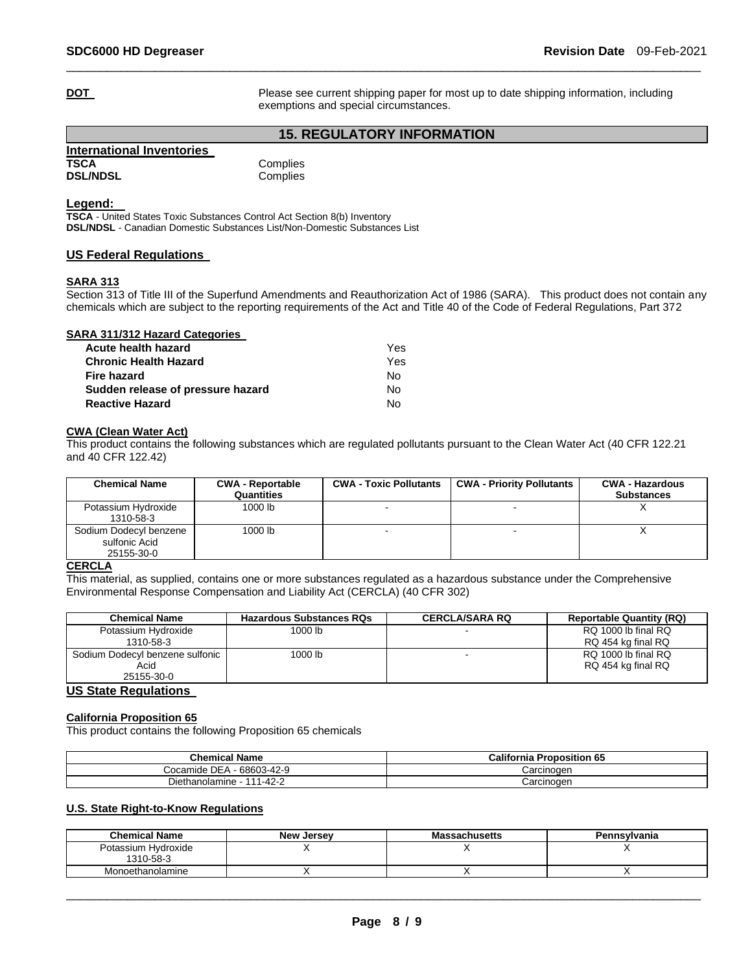**DOT Please see current shipping paper for most up to date shipping information, including** exemptions and special circumstances.

# **15. REGULATORY INFORMATION**

\_\_\_\_\_\_\_\_\_\_\_\_\_\_\_\_\_\_\_\_\_\_\_\_\_\_\_\_\_\_\_\_\_\_\_\_\_\_\_\_\_\_\_\_\_\_\_\_\_\_\_\_\_\_\_\_\_\_\_\_\_\_\_\_\_\_\_\_\_\_\_\_\_\_\_\_\_\_\_\_\_\_\_\_\_\_\_\_\_\_\_\_\_

| International Inventories |          |
|---------------------------|----------|
| <b>TSCA</b>               | Complies |
| <b>DSL/NDSL</b>           | Complies |

#### **Legend:**

**TSCA** - United States Toxic Substances Control Act Section 8(b) Inventory **DSL/NDSL** - Canadian Domestic Substances List/Non-Domestic Substances List

#### **US Federal Regulations**

#### **SARA 313**

Section 313 of Title III of the Superfund Amendments and Reauthorization Act of 1986 (SARA). This product does not contain any chemicals which are subject to the reporting requirements of the Act and Title 40 of the Code of Federal Regulations, Part 372

#### **SARA 311/312 Hazard Categories**

| Acute health hazard               | Yes. |
|-----------------------------------|------|
| <b>Chronic Health Hazard</b>      | Yes  |
| Fire hazard                       | N٥   |
| Sudden release of pressure hazard | N٥   |
| <b>Reactive Hazard</b>            | N٥   |

#### **CWA (Clean Water Act)**

This product contains the following substances which are regulated pollutants pursuant to the Clean Water Act (40 CFR 122.21 and 40 CFR 122.42)

| <b>Chemical Name</b>                                  | <b>CWA - Reportable</b><br>Quantities | <b>CWA - Toxic Pollutants</b> | <b>CWA - Priority Pollutants</b> | <b>CWA - Hazardous</b><br><b>Substances</b> |
|-------------------------------------------------------|---------------------------------------|-------------------------------|----------------------------------|---------------------------------------------|
| Potassium Hydroxide<br>1310-58-3                      | 1000 lb                               |                               |                                  |                                             |
| Sodium Dodecyl benzene<br>sulfonic Acid<br>25155-30-0 | 1000 lb                               | -                             |                                  |                                             |

#### **CERCLA**

This material, as supplied, contains one or more substances regulated as a hazardous substance under the Comprehensive Environmental Response Compensation and Liability Act (CERCLA) (40 CFR 302)

| <b>Chemical Name</b>              | <b>Hazardous Substances RQs</b> | <b>CERCLA/SARA RQ</b> | <b>Reportable Quantity (RQ)</b> |
|-----------------------------------|---------------------------------|-----------------------|---------------------------------|
| Potassium Hydroxide               | 1000 lb                         |                       | RQ 1000 lb final RQ             |
| 1310-58-3                         |                                 |                       | RQ 454 kg final RQ              |
| Sodium Dodecyl benzene sulfonic   | 1000 lb                         |                       | RQ 1000 lb final RQ             |
| Acid                              |                                 |                       | RQ 454 kg final RQ              |
| 25155-30-0                        |                                 |                       |                                 |
| $\mathbf{110.01}$ $\mathbf{0.11}$ |                                 |                       |                                 |

# **US State Regulations**

#### **California Proposition 65**

This product contains the following Proposition 65 chemicals

| <b>Chemical Name</b>                | <b>California Proposition 65</b> |
|-------------------------------------|----------------------------------|
| Cocamide DEA<br>68603-42-9          | Carcinoɑen                       |
| 1-42-2<br>444<br>Diethanolamine - 1 | Carcinoɑen                       |

## **U.S. State Right-to-Know Regulations**

| <b>Chemical Name</b> | <b>New Jersev</b> | <b>Massachusetts</b> | Pennsylvania |
|----------------------|-------------------|----------------------|--------------|
| Potassium Hydroxide  |                   |                      |              |
| 1310-58-3            |                   |                      |              |
| Monoethanolamine     |                   |                      |              |